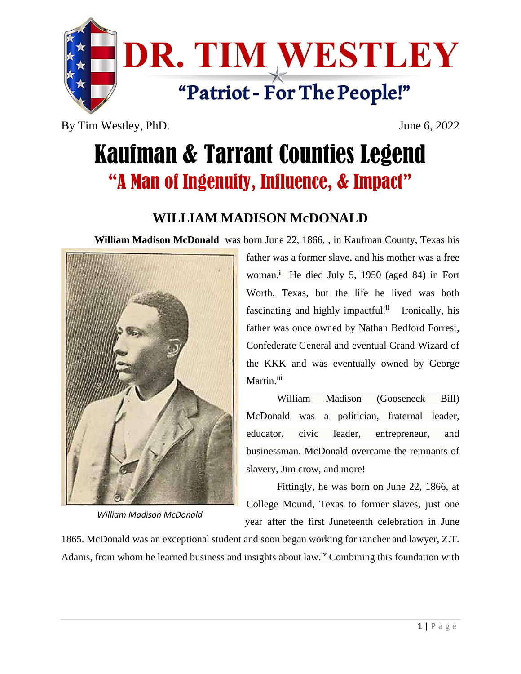

By Tim Westley, PhD. June 6, 2022

## Kaufman & Tarrant Counties Legend "A Man of Ingenuity, Influence, & Impact"

## **WILLIAM MADISON McDONALD**

**William Madison McDonald** was born June 22, 1866, , in Kaufman County, Texas his



*William Madison McDonald*

father was a former slave, and his mother was a free woman.**<sup>i</sup>** He died July 5, 1950 (aged 84) in Fort Worth, Texas, but the life he lived was both fascinating and highly impactful.<sup>ii</sup> Ironically, his father was once owned by Nathan Bedford Forrest, Confederate General and eventual Grand Wizard of the KKK and was eventually owned by George Martin.<sup>iii</sup>

William Madison (Gooseneck Bill) McDonald was a politician, fraternal leader, educator, civic leader, entrepreneur, and businessman. McDonald overcame the remnants of slavery, Jim crow, and more!

Fittingly, he was born on June 22, 1866, at College Mound, Texas to former slaves, just one year after the first Juneteenth celebration in June

1865. McDonald was an exceptional student and soon began working for rancher and lawyer, Z.T. Adams, from whom he learned business and insights about law.<sup>iv</sup> Combining this foundation with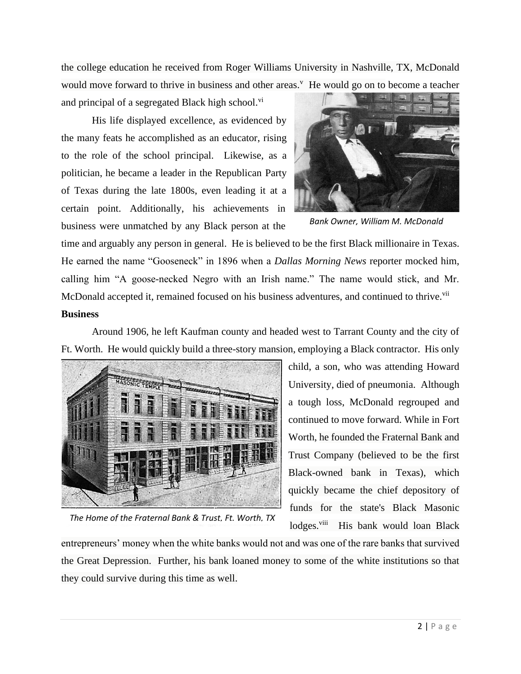the college education he received from Roger Williams University in Nashville, TX, McDonald would move forward to thrive in business and other areas.<sup>V</sup> He would go on to become a teacher

and principal of a segregated Black high school.<sup>vi</sup>

His life displayed excellence, as evidenced by the many feats he accomplished as an educator, rising to the role of the school principal. Likewise, as a politician, he became a leader in the Republican Party of Texas during the late 1800s, even leading it at a certain point. Additionally, his achievements in business were unmatched by any Black person at the



*Bank Owner, William M. McDonald*

time and arguably any person in general. He is believed to be the first Black millionaire in Texas. He earned the name "Gooseneck" in 1896 when a *Dallas Morning News* reporter mocked him, calling him "A goose-necked Negro with an Irish name." The name would stick, and Mr. McDonald accepted it, remained focused on his business adventures, and continued to thrive.<sup>vii</sup> **Business**

Around 1906, he left Kaufman county and headed west to Tarrant County and the city of Ft. Worth. He would quickly build a three-story mansion, employing a Black contractor. His only



child, a son, who was attending Howard University, died of pneumonia. Although a tough loss, McDonald regrouped and continued to move forward. While in Fort Worth, he founded the Fraternal Bank and Trust Company (believed to be the first Black-owned bank in Texas), which quickly became the chief depository of funds for the state's Black Masonic lodges.<sup>viii</sup> His bank would loan Black

*The Home of the Fraternal Bank & Trust, Ft. Worth, TX*

entrepreneurs' money when the white banks would not and was one of the rare banks that survived the Great Depression. Further, his bank loaned money to some of the white institutions so that they could survive during this time as well.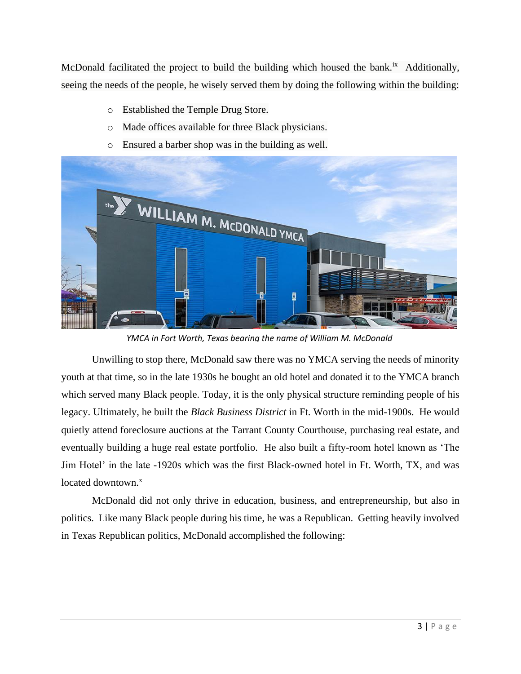McDonald facilitated the project to build the building which housed the bank.<sup>ix</sup> Additionally, seeing the needs of the people, he wisely served them by doing the following within the building:

- o Established the Temple Drug Store.
- o Made offices available for three Black physicians.
- o Ensured a barber shop was in the building as well.



*YMCA in Fort Worth, Texas bearing the name of William M. McDonald*

Unwilling to stop there, McDonald saw there was no YMCA serving the needs of minority youth at that time, so in the late 1930s he bought an old hotel and donated it to the YMCA branch which served many Black people. Today, it is the only physical structure reminding people of his legacy. Ultimately, he built the *Black Business District* in Ft. Worth in the mid-1900s. He would quietly attend foreclosure auctions at the Tarrant County Courthouse, purchasing real estate, and eventually building a huge real estate portfolio. He also built a fifty-room hotel known as 'The Jim Hotel' in the late -1920s which was the first Black-owned hotel in Ft. Worth, TX, and was located downtown.<sup>x</sup>

McDonald did not only thrive in education, business, and entrepreneurship, but also in politics. Like many Black people during his time, he was a Republican. Getting heavily involved in Texas Republican politics, McDonald accomplished the following: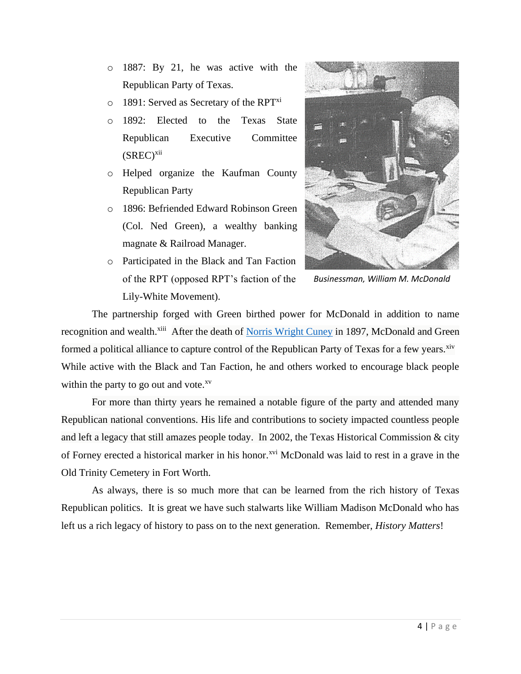- o 1887: By 21, he was active with the Republican Party of Texas.
- $\circ$  1891: Served as Secretary of the RPT<sup>xi</sup>
- o 1892: Elected to the Texas State Republican Executive Committee  $(SREC)^{xii}$
- o Helped organize the Kaufman County Republican Party
- o 1896: Befriended Edward Robinson Green (Col. Ned Green), a wealthy banking magnate & Railroad Manager.
- o Participated in the Black and Tan Faction of the RPT (opposed RPT's faction of the Lily-White Movement).



*Businessman, William M. McDonald*

The partnership forged with Green birthed power for McDonald in addition to name recognition and wealth.<sup>xiii</sup> After the death of [Norris Wright Cuney](https://www.tshaonline.org/handbook/online/articles/fcu20) in 1897, McDonald and Green formed a political alliance to capture control of the Republican Party of Texas for a few years.<sup>xiv</sup> While active with the Black and Tan Faction, he and others worked to encourage black people within the party to go out and vote. $x<sup>v</sup>$ 

For more than thirty years he remained a notable figure of the party and attended many Republican national conventions. His life and contributions to society impacted countless people and left a legacy that still amazes people today. In 2002, the Texas Historical Commission & city of Forney erected a historical marker in his honor.<sup>xvi</sup> McDonald was laid to rest in a grave in the Old Trinity Cemetery in Fort Worth.

As always, there is so much more that can be learned from the rich history of Texas Republican politics. It is great we have such stalwarts like William Madison McDonald who has left us a rich legacy of history to pass on to the next generation. Remember, *History Matters*!